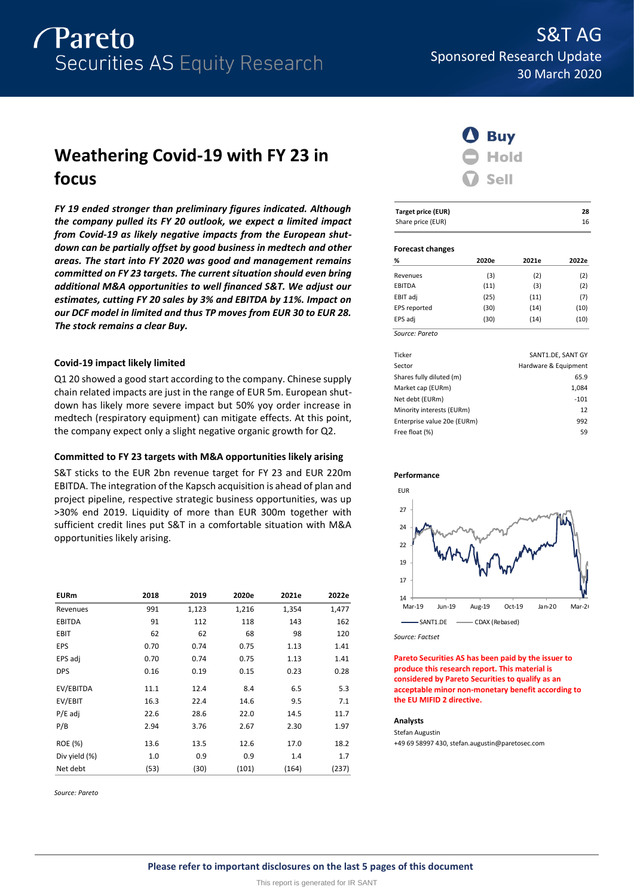

# **Weathering Covid-19 with FY 23 in focus**

*FY 19 ended stronger than preliminary figures indicated. Although the company pulled its FY 20 outlook, we expect a limited impact from Covid-19 as likely negative impacts from the European shutdown can be partially offset by good business in medtech and other areas. The start into FY 2020 was good and management remains committed on FY 23 targets. The current situation should even bring additional M&A opportunities to well financed S&T. We adjust our estimates, cutting FY 20 sales by 3% and EBITDA by 11%. Impact on our DCF model in limited and thus TP moves from EUR 30 to EUR 28. The stock remains a clear Buy.*

# **Covid-19 impact likely limited**

Q1 20 showed a good start according to the company. Chinese supply chain related impacts are just in the range of EUR 5m. European shutdown has likely more severe impact but 50% yoy order increase in medtech (respiratory equipment) can mitigate effects. At this point, the company expect only a slight negative organic growth for Q2.

# **Committed to FY 23 targets with M&A opportunities likely arising**

S&T sticks to the EUR 2bn revenue target for FY 23 and EUR 220m EBITDA. The integration of the Kapsch acquisition is ahead of plan and project pipeline, respective strategic business opportunities, was up >30% end 2019. Liquidity of more than EUR 300m together with sufficient credit lines put S&T in a comfortable situation with M&A opportunities likely arising.

| <b>EURm</b>    | 2018 | 2019  | 2020e | 2021e | 2022e |
|----------------|------|-------|-------|-------|-------|
| Revenues       | 991  | 1,123 | 1,216 | 1,354 | 1,477 |
| <b>EBITDA</b>  | 91   | 112   | 118   | 143   | 162   |
| <b>EBIT</b>    | 62   | 62    | 68    | 98    | 120   |
| EPS            | 0.70 | 0.74  | 0.75  | 1.13  | 1.41  |
| EPS adj        | 0.70 | 0.74  | 0.75  | 1.13  | 1.41  |
| <b>DPS</b>     | 0.16 | 0.19  | 0.15  | 0.23  | 0.28  |
| EV/EBITDA      | 11.1 | 12.4  | 8.4   | 6.5   | 5.3   |
| EV/EBIT        | 16.3 | 22.4  | 14.6  | 9.5   | 7.1   |
| $P/E$ adj      | 22.6 | 28.6  | 22.0  | 14.5  | 11.7  |
| P/B            | 2.94 | 3.76  | 2.67  | 2.30  | 1.97  |
| <b>ROE (%)</b> | 13.6 | 13.5  | 12.6  | 17.0  | 18.2  |
| Div yield (%)  | 1.0  | 0.9   | 0.9   | 1.4   | 1.7   |
| Net debt       | (53) | (30)  | (101) | (164) | (237) |

*Source: Pareto*



| Target price (EUR) | 28 |
|--------------------|----|
| Share price (EUR)  | 16 |

### **Forecast changes**

| %              | 2020e | 2021e | 2022e |
|----------------|-------|-------|-------|
| Revenues       | (3)   | (2)   | (2)   |
| EBITDA         | (11)  | (3)   | (2)   |
| EBIT adj       | (25)  | (11)  | (7)   |
| EPS reported   | (30)  | (14)  | (10)  |
| EPS adj        | (30)  | (14)  | (10)  |
| Source: Pareto |       |       |       |

| Ticker                      | SANT1.DE, SANT GY    |
|-----------------------------|----------------------|
| Sector                      | Hardware & Equipment |
| Shares fully diluted (m)    | 65.9                 |
| Market cap (EURm)           | 1,084                |
| Net debt (EURm)             | $-101$               |
| Minority interests (EURm)   | 12                   |
| Enterprise value 20e (EURm) | 992                  |
| Free float (%)              | 59                   |
|                             |                      |





*Source: Factset*

**Pareto Securities AS has been paid by the issuer to produce this research report. This material is considered by Pareto Securities to qualify as an acceptable minor non-monetary benefit according to the EU MIFID 2 directive.**

# **Analysts**

Stefan Augustin +49 69 58997 430, stefan.augustin@paretosec.com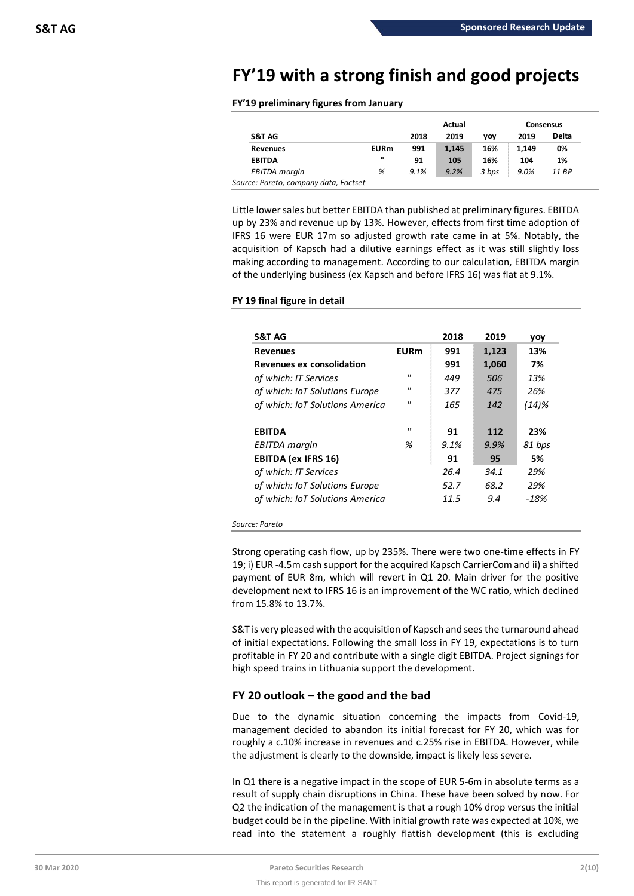# **FY'19 with a strong finish and good projects**

# **FY'19 preliminary figures from January**

|              | Actual |       |       | Consensus |              |  |
|--------------|--------|-------|-------|-----------|--------------|--|
|              | 2018   | 2019  | vov   | 2019      | <b>Delta</b> |  |
| <b>EURm</b>  | 991    | 1.145 | 16%   | 1.149     | 0%           |  |
| $\mathbf{u}$ | 91     | 105   | 16%   | 104       | 1%           |  |
| %            | 9.1%   | 9.2%  | 3 bps | 9.0%      | 11 BP        |  |
|              |        |       |       |           |              |  |

Little lower sales but better EBITDA than published at preliminary figures. EBITDA up by 23% and revenue up by 13%. However, effects from first time adoption of IFRS 16 were EUR 17m so adjusted growth rate came in at 5%. Notably, the acquisition of Kapsch had a dilutive earnings effect as it was still slightly loss making according to management. According to our calculation, EBITDA margin of the underlying business (ex Kapsch and before IFRS 16) was flat at 9.1%.

# **FY 19 final figure in detail**

| <b>S&amp;T AG</b>                |                   | 2018 | 2019  | yoy      |
|----------------------------------|-------------------|------|-------|----------|
| <b>Revenues</b>                  | <b>EURm</b>       | 991  | 1,123 | 13%      |
| <b>Revenues ex consolidation</b> |                   | 991  | 1,060 | 7%       |
| of which: IT Services            | $^{\prime\prime}$ | 449  | 506   | 13%      |
| of which: IoT Solutions Europe   | $^{\prime\prime}$ | 377  | 475   | 26%      |
| of which: IoT Solutions America  | $^{\prime\prime}$ | 165  | 142   | $(14)$ % |
| <b>EBITDA</b>                    | $\mathbf{u}$      | 91   | 112   | 23%      |
| EBITDA margin                    | %                 | 9.1% | 9.9%  | 81 bps   |
| <b>EBITDA (ex IFRS 16)</b>       |                   | 91   | 95    | 5%       |
| of which: IT Services            |                   | 26.4 | 34.1  | 29%      |
| of which: IoT Solutions Europe   |                   | 52.7 | 68.2  | 29%      |
| of which: IoT Solutions America  |                   | 11.5 | 9.4   | -18%     |

*Source: Pareto*

Strong operating cash flow, up by 235%. There were two one-time effects in FY 19; i) EUR -4.5m cash support for the acquired Kapsch CarrierCom and ii) a shifted payment of EUR 8m, which will revert in Q1 20. Main driver for the positive development next to IFRS 16 is an improvement of the WC ratio, which declined from 15.8% to 13.7%.

S&T is very pleased with the acquisition of Kapsch and sees the turnaround ahead of initial expectations. Following the small loss in FY 19, expectations is to turn profitable in FY 20 and contribute with a single digit EBITDA. Project signings for high speed trains in Lithuania support the development.

# **FY 20 outlook – the good and the bad**

Due to the dynamic situation concerning the impacts from Covid-19, management decided to abandon its initial forecast for FY 20, which was for roughly a c.10% increase in revenues and c.25% rise in EBITDA. However, while the adjustment is clearly to the downside, impact is likely less severe.

In Q1 there is a negative impact in the scope of EUR 5-6m in absolute terms as a result of supply chain disruptions in China. These have been solved by now. For Q2 the indication of the management is that a rough 10% drop versus the initial budget could be in the pipeline. With initial growth rate was expected at 10%, we read into the statement a roughly flattish development (this is excluding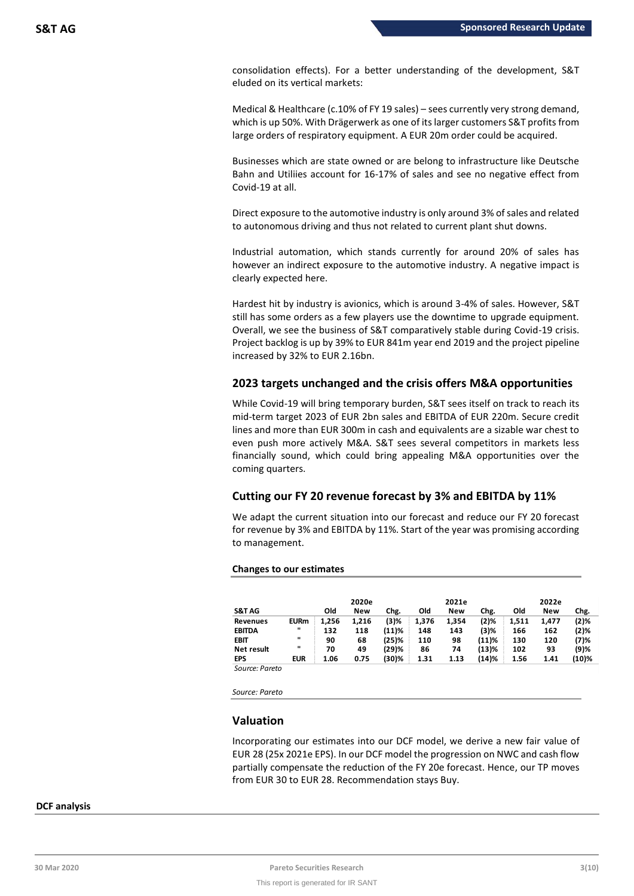consolidation effects). For a better understanding of the development, S&T eluded on its vertical markets:

Medical & Healthcare (c.10% of FY 19 sales) – sees currently very strong demand, which is up 50%. With Drägerwerk as one of its larger customers S&T profits from large orders of respiratory equipment. A EUR 20m order could be acquired.

Businesses which are state owned or are belong to infrastructure like Deutsche Bahn and Utiliies account for 16-17% of sales and see no negative effect from Covid-19 at all.

Direct exposure to the automotive industry is only around 3% of sales and related to autonomous driving and thus not related to current plant shut downs.

Industrial automation, which stands currently for around 20% of sales has however an indirect exposure to the automotive industry. A negative impact is clearly expected here.

Hardest hit by industry is avionics, which is around 3-4% of sales. However, S&T still has some orders as a few players use the downtime to upgrade equipment. Overall, we see the business of S&T comparatively stable during Covid-19 crisis. Project backlog is up by 39% to EUR 841m year end 2019 and the project pipeline increased by 32% to EUR 2.16bn.

# **2023 targets unchanged and the crisis offers M&A opportunities**

While Covid-19 will bring temporary burden, S&T sees itself on track to reach its mid-term target 2023 of EUR 2bn sales and EBITDA of EUR 220m. Secure credit lines and more than EUR 300m in cash and equivalents are a sizable war chest to even push more actively M&A. S&T sees several competitors in markets less financially sound, which could bring appealing M&A opportunities over the coming quarters.

# **Cutting our FY 20 revenue forecast by 3% and EBITDA by 11%**

We adapt the current situation into our forecast and reduce our FY 20 forecast for revenue by 3% and EBITDA by 11%. Start of the year was promising according to management.

## **Changes to our estimates**

|                  |             |       | 2020e |       |       | 2021e |         |       | 2022e |       |
|------------------|-------------|-------|-------|-------|-------|-------|---------|-------|-------|-------|
| <b>S&amp;TAG</b> |             | Old   | New   | Chg.  | Old   | New   | Chg.    | Old   | New   | Chg.  |
| <b>Revenues</b>  | <b>EURm</b> | 1.256 | 1.216 | (3)%  | 1,376 | 1.354 | $(2)$ % | 1.511 | 1.477 | (2)%  |
| <b>EBITDA</b>    |             | 132   | 118   | (11)% | 148   | 143   | (3)%    | 166   | 162   | (2)%  |
| EBIT             | п           | 90    | 68    | (25)% | 110   | 98    | (11)%   | 130   | 120   | (7)%  |
| Net result       | п           | 70    | 49    | (29)% | 86    | 74    | (13)%   | 102   | 93    | (9)%  |
| <b>EPS</b>       | <b>EUR</b>  | 1.06  | 0.75  | (30)% | 1.31  | 1.13  | (14)%   | 1.56  | 1.41  | (10)% |
| Source: Pareto   |             |       |       |       |       |       |         |       |       |       |

*Source: Pareto*

# **Valuation**

Incorporating our estimates into our DCF model, we derive a new fair value of EUR 28 (25x 2021e EPS). In our DCF model the progression on NWC and cash flow partially compensate the reduction of the FY 20e forecast. Hence, our TP moves from EUR 30 to EUR 28. Recommendation stays Buy.

## **DCF analysis**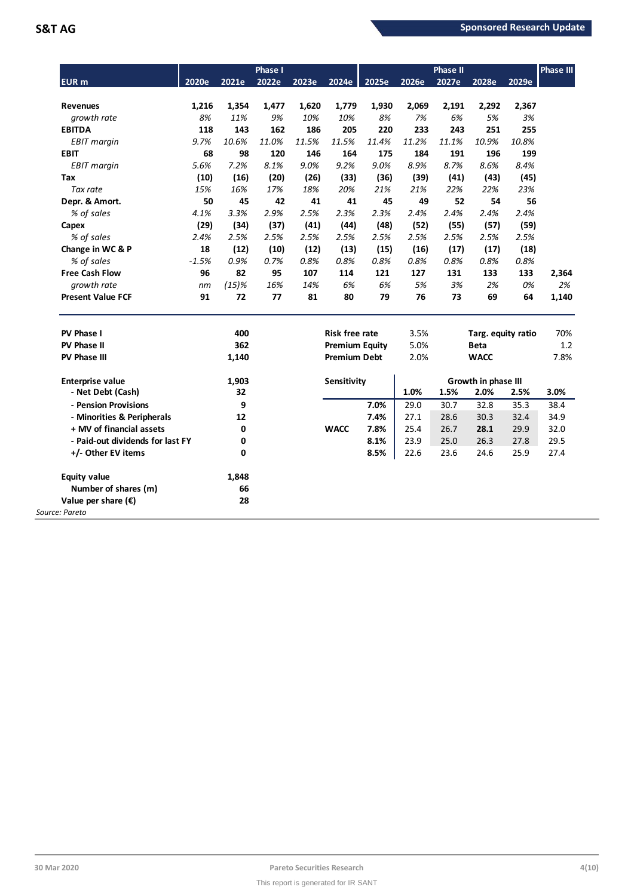| <b>EUR</b> m                      | 2020e       | 2021e        | Phase I<br>2022e | 2023e        | 2024e                 | 2025e        | 2026e        | <b>Phase II</b><br>2027e | 2028e               | 2029e        | <b>Phase III</b> |
|-----------------------------------|-------------|--------------|------------------|--------------|-----------------------|--------------|--------------|--------------------------|---------------------|--------------|------------------|
|                                   |             |              |                  |              |                       |              |              |                          |                     |              |                  |
| <b>Revenues</b>                   | 1,216       | 1,354        | 1,477            | 1,620        | 1,779                 | 1,930        | 2,069        | 2,191                    | 2,292               | 2,367        |                  |
| growth rate                       | 8%          | 11%          | 9%               | 10%          | 10%                   | 8%           | 7%           | 6%                       | 5%                  | 3%           |                  |
| <b>EBITDA</b>                     | 118<br>9.7% | 143<br>10.6% | 162<br>11.0%     | 186<br>11.5% | 205<br>11.5%          | 220<br>11.4% | 233<br>11.2% | 243<br>11.1%             | 251<br>10.9%        | 255<br>10.8% |                  |
| <b>EBIT</b> margin<br><b>EBIT</b> | 68          | 98           | 120              | 146          | 164                   | 175          | 184          | 191                      | 196                 | 199          |                  |
|                                   | 5.6%        | 7.2%         | 8.1%             | 9.0%         | 9.2%                  | 9.0%         | 8.9%         | 8.7%                     | 8.6%                | 8.4%         |                  |
| <b>EBIT</b> margin<br>Tax         |             |              |                  |              |                       |              |              |                          |                     |              |                  |
| Tax rate                          | (10)<br>15% | (16)<br>16%  | (20)<br>17%      | (26)<br>18%  | (33)<br>20%           | (36)<br>21%  | (39)<br>21%  | (41)<br>22%              | (43)<br>22%         | (45)<br>23%  |                  |
|                                   | 50          |              |                  |              |                       |              | 49           | 52                       | 54                  |              |                  |
| Depr. & Amort.                    | 4.1%        | 45<br>3.3%   | 42<br>2.9%       | 41<br>2.5%   | 41<br>2.3%            | 45<br>2.3%   | 2.4%         | 2.4%                     | 2.4%                | 56<br>2.4%   |                  |
| % of sales                        |             |              |                  |              |                       |              |              |                          |                     |              |                  |
| Capex                             | (29)        | (34)         | (37)             | (41)         | (44)                  | (48)         | (52)         | (55)                     | (57)                | (59)         |                  |
| % of sales                        | 2.4%        | 2.5%         | 2.5%             | 2.5%         | 2.5%                  | 2.5%         | 2.5%         | 2.5%                     | 2.5%                | 2.5%         |                  |
| Change in WC & P                  | 18          | (12)         | (10)             | (12)         | (13)                  | (15)         | (16)         | (17)                     | (17)                | (18)         |                  |
| % of sales                        | $-1.5%$     | 0.9%         | 0.7%             | 0.8%         | 0.8%                  | 0.8%         | 0.8%         | 0.8%                     | 0.8%                | 0.8%         |                  |
| <b>Free Cash Flow</b>             | 96          | 82           | 95               | 107          | 114                   | 121          | 127          | 131                      | 133                 | 133          | 2,364            |
| growth rate                       | nm          | $(15)\%$     | 16%              | 14%          | 6%                    | 6%           | 5%           | 3%                       | 2%                  | 0%           | 2%               |
| <b>Present Value FCF</b>          | 91          | 72           | 77               | 81           | 80                    | 79           | 76           | 73                       | 69                  | 64           | 1,140            |
| PV Phase I                        |             | 400          |                  |              | <b>Risk free rate</b> |              | 3.5%         |                          | Targ. equity ratio  |              | 70%              |
| <b>PV Phase II</b>                |             | 362          |                  |              | <b>Premium Equity</b> |              | 5.0%         |                          | <b>Beta</b>         |              | 1.2              |
| <b>PV Phase III</b>               |             | 1,140        |                  |              | <b>Premium Debt</b>   |              | 2.0%         |                          | <b>WACC</b>         |              | 7.8%             |
| <b>Enterprise value</b>           |             | 1,903        |                  |              | Sensitivity           |              |              |                          | Growth in phase III |              |                  |
| - Net Debt (Cash)                 |             | 32           |                  |              |                       |              | 1.0%         | 1.5%                     | 2.0%                | 2.5%         | 3.0%             |
| - Pension Provisions              |             | 9            |                  |              |                       | 7.0%         | 29.0         | 30.7                     | 32.8                | 35.3         | 38.4             |
| - Minorities & Peripherals        |             | 12           |                  |              |                       | 7.4%         | 27.1         | 28.6                     | 30.3                | 32.4         | 34.9             |
| + MV of financial assets          |             | 0            |                  |              | <b>WACC</b>           | 7.8%         | 25.4         | 26.7                     | 28.1                | 29.9         | 32.0             |
| - Paid-out dividends for last FY  |             | 0            |                  |              |                       | 8.1%         | 23.9         | 25.0                     | 26.3                | 27.8         | 29.5             |
| +/- Other EV items                |             | 0            |                  |              |                       | 8.5%         | 22.6         | 23.6                     | 24.6                | 25.9         | 27.4             |
| <b>Equity value</b>               |             | 1,848        |                  |              |                       |              |              |                          |                     |              |                  |
| Number of shares (m)              |             | 66           |                  |              |                       |              |              |                          |                     |              |                  |
| Value per share $(\epsilon)$      |             | 28           |                  |              |                       |              |              |                          |                     |              |                  |
| Source: Pareto                    |             |              |                  |              |                       |              |              |                          |                     |              |                  |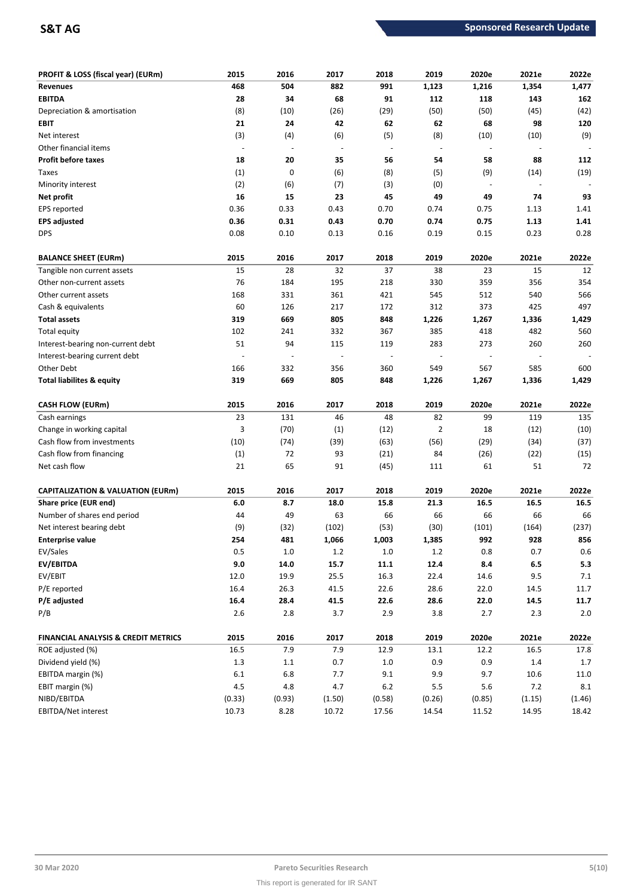| PROFIT & LOSS (fiscal year) (EURm)             | 2015                     | 2016           | 2017                     | 2018                     | 2019           | 2020e          | 2021e                    | 2022e     |
|------------------------------------------------|--------------------------|----------------|--------------------------|--------------------------|----------------|----------------|--------------------------|-----------|
| <b>Revenues</b>                                | 468                      | 504            | 882                      | 991                      | 1,123          | 1,216          | 1,354                    | 1,477     |
| <b>EBITDA</b>                                  | 28                       | 34             | 68                       | 91                       | 112            | 118            | 143                      | 162       |
| Depreciation & amortisation                    | (8)                      | (10)           | (26)                     | (29)                     | (50)           | (50)           | (45)                     | (42)      |
| EBIT                                           | 21                       | 24             | 42                       | 62                       | 62             | 68             | 98                       | 120       |
| Net interest                                   | (3)                      | (4)            | (6)                      | (5)                      | (8)            | (10)           | (10)                     | (9)       |
| Other financial items                          | $\overline{\phantom{a}}$ | $\overline{a}$ | $\overline{\phantom{a}}$ | $\overline{\phantom{a}}$ | $\blacksquare$ | $\overline{a}$ | $\overline{\phantom{a}}$ |           |
| <b>Profit before taxes</b>                     | 18                       | 20             | 35                       | 56                       | 54             | 58             | 88                       | 112       |
| Taxes                                          | (1)                      | 0              | (6)                      | (8)                      | (5)            | (9)            | (14)                     | (19)      |
| Minority interest                              | (2)                      | (6)            | (7)                      | (3)                      | (0)            | $\overline{a}$ |                          |           |
| Net profit                                     | 16                       | 15             | 23                       | 45                       | 49             | 49             | 74                       | 93        |
| EPS reported                                   | 0.36                     | 0.33           | 0.43                     | 0.70                     | 0.74           | 0.75           | 1.13                     | 1.41      |
| <b>EPS adjusted</b>                            | 0.36                     | 0.31           | 0.43                     | 0.70                     | 0.74           | 0.75           | 1.13                     | 1.41      |
| <b>DPS</b>                                     | 0.08                     | 0.10           | 0.13                     | 0.16                     | 0.19           | 0.15           | 0.23                     | 0.28      |
| <b>BALANCE SHEET (EURm)</b>                    | 2015                     | 2016           | 2017                     | 2018                     | 2019           | 2020e          | 2021e                    | 2022e     |
| Tangible non current assets                    | 15                       | 28             | 32                       | 37                       | 38             | 23             | 15                       | 12        |
| Other non-current assets                       | 76                       | 184            | 195                      | 218                      | 330            | 359            | 356                      | 354       |
| Other current assets                           | 168                      | 331            | 361                      | 421                      | 545            | 512            | 540                      | 566       |
| Cash & equivalents                             | 60                       | 126            | 217                      | 172                      | 312            | 373            | 425                      | 497       |
| <b>Total assets</b>                            | 319                      | 669            | 805                      | 848                      | 1,226          | 1,267          | 1,336                    | 1,429     |
| <b>Total equity</b>                            | 102                      | 241            | 332                      | 367                      | 385            | 418            | 482                      | 560       |
| Interest-bearing non-current debt              | 51                       | 94             | 115                      | 119                      | 283            | 273            | 260                      | 260       |
| Interest-bearing current debt                  |                          |                | $\overline{\phantom{a}}$ |                          |                |                |                          |           |
| Other Debt                                     | 166                      | 332            | 356                      | 360                      | 549            | 567            | 585                      | 600       |
| Total liabilites & equity                      | 319                      | 669            | 805                      | 848                      | 1,226          | 1,267          | 1,336                    | 1,429     |
| <b>CASH FLOW (EURm)</b>                        | 2015                     | 2016           | 2017                     | 2018                     | 2019           | 2020e          | 2021e                    | 2022e     |
| Cash earnings                                  | 23                       | 131            | 46                       | 48                       | 82             | 99             | 119                      | 135       |
| Change in working capital                      | 3                        | (70)           | (1)                      | (12)                     | $\overline{2}$ | 18             | (12)                     | (10)      |
| Cash flow from investments                     | (10)                     | (74)           | (39)                     | (63)                     | (56)           | (29)           | (34)                     | (37)      |
| Cash flow from financing                       | (1)                      | 72             | 93                       | (21)                     | 84             | (26)           | (22)                     | (15)      |
| Net cash flow                                  | 21                       | 65             | 91                       | (45)                     | 111            | 61             | 51                       | 72        |
| <b>CAPITALIZATION &amp; VALUATION (EURm)</b>   | 2015                     | 2016           | 2017                     | 2018                     | 2019           | 2020e          | 2021e                    | 2022e     |
| Share price (EUR end)                          | 6.0                      | 8.7            | 18.0                     | 15.8                     | 21.3           | 16.5           | 16.5                     | 16.5      |
| Number of shares end period                    | 44                       | 49             | 63                       | 66                       | 66             | 66             | 66                       | 66        |
| Net interest bearing debt                      | (9)                      | (32)           | (102)                    | (53)                     | (30)           | (101)          | (164)                    | (237)     |
| Enterprise value                               | 254                      | 481            | 1,066                    | 1,003                    | 1,385          | 992            | 928                      | 856       |
| EV/Sales                                       | 0.5                      | $1.0\,$        | $1.2\,$                  | $1.0\,$                  | $1.2\,$        | $0.8\,$        | 0.7                      | $0.6\,$   |
| EV/EBITDA                                      | $9.0\,$                  | 14.0           | 15.7                     | 11.1                     | 12.4           | 8.4            | $6.5\,$                  | 5.3       |
| EV/EBIT                                        | 12.0                     | 19.9           | 25.5                     | 16.3                     | 22.4           | 14.6           | 9.5                      | 7.1       |
| P/E reported                                   | 16.4                     | 26.3           | 41.5                     | 22.6                     | 28.6           | 22.0           | 14.5                     | 11.7      |
| P/E adjusted                                   | 16.4                     | 28.4           | 41.5                     | 22.6                     | 28.6           | 22.0           | 14.5                     | 11.7      |
| P/B                                            | $2.6\,$                  | 2.8            | 3.7                      | 2.9                      | 3.8            | 2.7            | 2.3                      | 2.0       |
| <b>FINANCIAL ANALYSIS &amp; CREDIT METRICS</b> | 2015                     | 2016           | 2017                     | 2018                     | 2019           | 2020e          | 2021e                    | 2022e     |
| ROE adjusted (%)                               | 16.5                     | 7.9            | 7.9                      | 12.9                     | 13.1           | 12.2           | 16.5                     | 17.8      |
| Dividend yield (%)                             | 1.3                      | $1.1\,$        | $0.7\,$                  | $1.0\,$                  | 0.9            | 0.9            | $1.4\,$                  | 1.7       |
| EBITDA margin (%)                              | $6.1\,$                  | $6.8\,$        | 7.7                      | 9.1                      | 9.9            | 9.7            | 10.6                     | 11.0      |
| EBIT margin (%)                                | 4.5                      | 4.8            | 4.7                      | $6.2$                    | 5.5            | 5.6            | 7.2                      | $\bf 8.1$ |
| NIBD/EBITDA                                    | (0.33)                   | (0.93)         | (1.50)                   | (0.58)                   | (0.26)         | (0.85)         | (1.15)                   | (1.46)    |
| EBITDA/Net interest                            | 10.73                    | 8.28           | 10.72                    | 17.56                    | 14.54          | 11.52          | 14.95                    | 18.42     |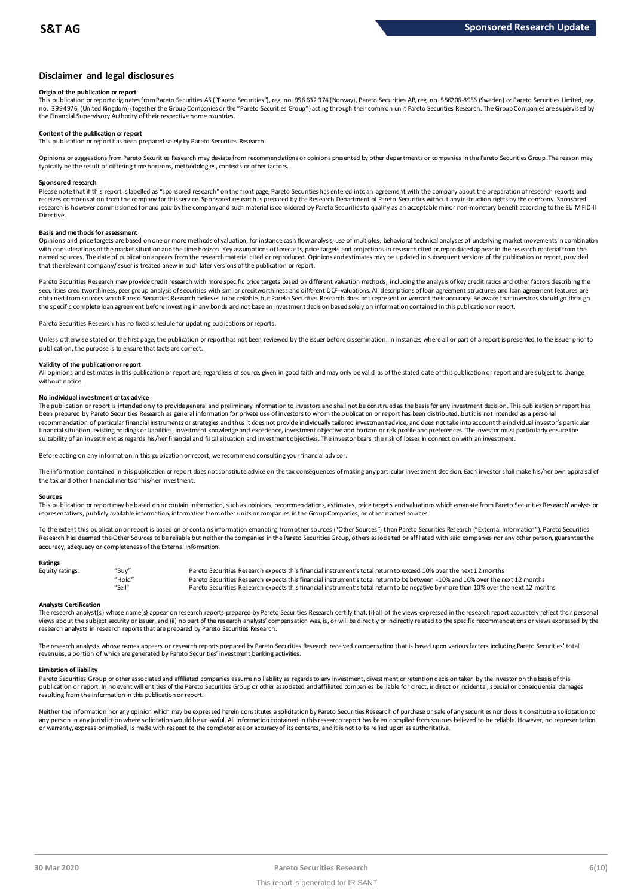# **Disclaimer and legal disclosures**

### **Origin of the publication or report**

This publication or report originates from Pareto Securities AS ("Pareto Securities"), reg. no. 956 632 374 (Norway), Pareto Securities AB, reg. no. 556206-8956 (Sweden) or Pareto Securities Limited, reg. no. 3994976, (United Kingdom) (together the Group Companies or the "Pareto Securities Group") acting through their common un it Pareto Securities Research. The Group Companies are supervised by the Financial Supervisory Authority of their respective home countries.

### **Content of the publication or report**

This publication or report has been prepared solely by Pareto Securities Research.

Opinions or suggestions from Pareto Securities Research may deviate from recommendations or opinions presented by other departments or companies in the Pareto Securities Group. The reason may typically be the result of differing time horizons, methodologies, contexts or other factors.

### **Sponsored research**

Please note that if this report is labelled as "sponsored research" on the front page, Pareto Securities has entered into an agreement with the company about the preparation of research reports and receives compensation from the company for this service. Sponsored research is prepared by the Research Department of Pareto Securities without any instruction rights by the company. Sponsored research is however commissioned for and paid by the company and such material is considered by Pareto Securities to qualify as an acceptable minor non-monetary benefit according to the EU MiFID II Directive.

### **Basis and methods for assessment**

Opinions and price targets are based on one or more methods of valuation, for instance cash flow analysis, use of multiples, behavioral technical analyses of underlying market movements in combination with considerations of the market situation and the time horizon. Key assumptions of forecasts, price targets and projections in research cited or reproduced appear in the research material from the named sources. The date of publication appears from the research material cited or reproduced. Opinions and estimates may be updated in subsequent versions of the publication or report, provided in and social cited or repo that the relevant company/issuer is treated anew in such later versions of the publication or report.

Pareto Securities Research may provide credit research with more specific price targets based on different valuation methods, including the analysis of key credit ratios and other factors describing the securities creditworthiness, peer group analysis of securities with similar creditworthiness and different DCF-valuations. All descriptions of loan agreement structures and loan agreement features are obtained from sources which Pareto Securities Research believes to be reliable, but Pareto Securities Research does not represent or warrant their accuracy. Be aware that investors should go through the specific complete loan agreement before investing in any bonds and not base an investment decision based solely on information contained in this publication or report.

Pareto Securities Research has no fixed schedule for updating publications or reports.

Unless otherwise stated on the first page, the publication or report has not been reviewed by the issuer before dissemination. In instances where all or part of a report is presented to the issuer prior to publication, the purpose is to ensure that facts are correct.

### **Validity of the publication or report**

All opinions and estimates in this publication or report are, regardless of source, given in good faith and may only be valid as of the stated date of this publication or report and are subject to change without notice.

### **No individual investment or tax advice**

The publication or report is intended only to provide general and preliminary information to investors and shall not be construed as the basis for any investment decision. This publication or report has been prepared by Pareto Securities Research as general information for private use of investors to whom the publication or report has been distributed, but it is not intended as a personal recommendation of partiɑɪlar financial instruments or strategies and thus it does not provide individually tailored investmen tadvice, and does not take into account the individual investor's particular<br>financial situation suitability of an investment as regards his/her financial and fiscal situation and investment objectives. The investor bears the risk of losses in connection with an investment.

Before acting on any information in this publication or report, we recommend consulting your financial advisor.

The information contained in this publication or report does not constitute advice on the tax consequences of making any particular investment decision. Each investor shall make his/her own appraisal of the tax and other financial merits of his/her investment.

### **Sources**

This publication or report may be based on or contain information, such as opinions, recommendations, estimates, price targets and valuations which emanate from Pareto Securities Research' analysts or representatives, publicly available information, information from other units or companies in the Group Companies, or other n amed sources.

To the extent this publication or report is based on or contains information emanating from other sources "Other Sources") than Pareto Securities Research ("External Information"), Pareto Securities Research has deemed the Other Sources to be reliable but neither the companies in the Pareto Securities Group, others associated or affiliated with said companies nor any other person, guarantee the accuracy, adequacy or completeness of the External Information.

### **Ratings**

| Equity ratings: | "Buy"  | Pareto Securities Research expects this financial instrument's total return to exceed 10% over the next 12 months                   |
|-----------------|--------|-------------------------------------------------------------------------------------------------------------------------------------|
|                 | "Hold" | Pareto Securities Research expects this financial instrument's total return to be between -10% and 10% over the next 12 months      |
|                 | "Sell" | Pareto Securities Research expects this financial instrument's total return to be negative by more than 10% over the next 12 months |

Analysts Certification<br>The research analyst(s) whose name(s) appear on research reports prepared by Pareto Securities Research certify that: (i) all of the views expressed in the research report accurately reflect their pe "Hold"<br>"Sell" Pareto Securities Research expects this financial instrument's total return to be between -10% and 10% over the next 12 months<br>"Sell" Pareto Securities Research expects this financial instrument's total retur research analysts in research reports that are prepared by Pareto Securities Research.

The research analysts whose names appears on research reports prepared by Pareto Securities Research received compensation that is based upon various factors including Pareto Securities' total<br>revenues, a portion of which

### **Limitation of liability**

Pareto Securities Group or other associated and affiliated companies assume no liablity as regards to any investment, divestment or retention decision taken by the investor on the basis of this<br>publication or report. In no resulting from the information in this publication or report.

Neither the information nor any opinion which may be expressed herein constitutes a soligitation by Pareto Securities Research of purchase or sale of any securities nor does it constitute a soligitation to any person in any jurisdiction where solicitation would be unlawful. All information contained in this research report has been compiled from sources believed to be reliable. However, no representation or warranty, express or implied, is made with respect to the completeness or accuracy of its contents, and it is not to be relied upon as authoritative.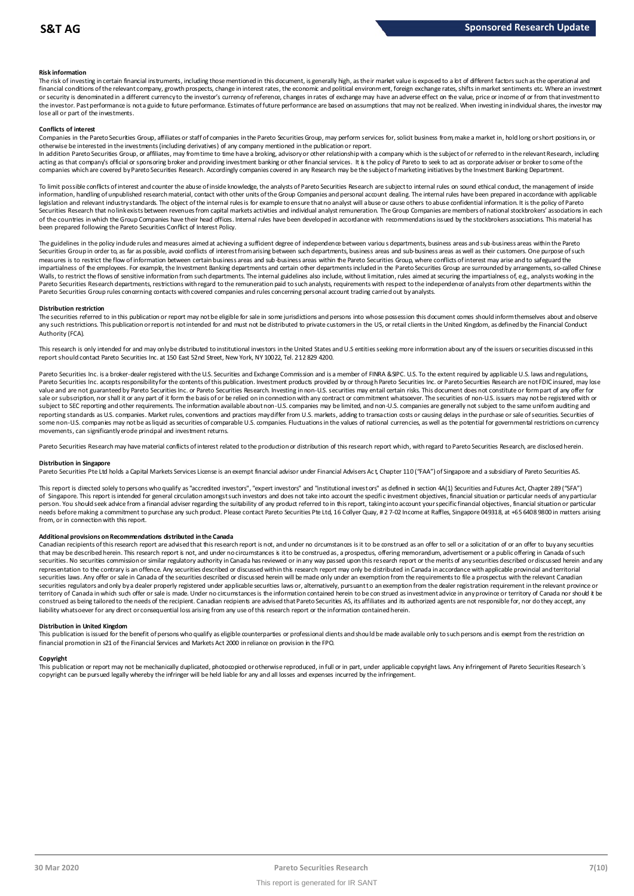### **Risk information**

The risk of investing in certain financial instruments, including those mentioned in this document, is generally high, as their market value is exposed to a lot of different factors such as the operational and financial conditions of the relevant company, growth prospects, change in interest rates, the economic and political environment, foreign exchange rates, shifts in market sentiments etc. Where an investment met.<br>or securit the investor. Past performance is not a guide to future performance. Estimates of future performance are based on assumptions that may not be realized. When investing in individual shares, the investor may lose all or part of the investments.

### **Conflicts of interest**

Companies in the Pareto Securities Group, affiliates or staff of companies in the Pareto Securities Group, may perform services for, solicit business from, make a market in, hold long or short positions in, or otherwise be interested in the investments (including derivatives) of any company mentioned in the publication or report.

In addition Pareto Securities Group, or affiliates, may from time to time have a broking, advisory or other relationship with a company which is the subject of or referred to in the relevant Research, including acting as that company's official or sponsoring broker and providing investment banking or other financial services. It is the policy of Pareto to seek to act as corporate adviser or broker to some of the<br>companies which a

To limit possible conflicts of interest and counter the abuse of inside knowledge, the analysts of Pareto Securities Research are subject to internal rules on sound ethical conduct, the management of inside<br>information, ha legislation and relevant industry standards. The object of the internal rules is for example to ensure that no analyst will abuse or cause others to abuse confidential information. It is the policy of Pareto Securities Research that no link exists between revenues from capital markets activities and individual analyst remuneration. The Group Companies are members of national stockbrokers' associations in each of the countries in which the Group Companies have their head offices. Internal rules have been developed in accordance with recommendations issued by the stockbrokers associations. This material has been prepared following the Pareto Securities Conflict of Interest Policy.

The guidelines in the policy indude rules and measures aimed at achieving a sufficient degree of independence between various departments, business areas and sub-business areas within the Pareto<br>Securities Group in order t measures is to restrict the flow of information between certain business areas and sub-business areas within the Pareto Securities Group, where conflicts of interest may arise and to safeguard the impartialness of the empl The guidelines in the policy indude rules and measures aimed at achieving a sufficient degree of independence between various departments, business areas and sub-business areas within the Pareto<br>Securities Group in order t Walls, to restrict the flows of sensitive information from such departments. The internal guidelines also include, without limitation, rules aimed at securing the impartialness of, e.g., analysts working in the<br>Pareto Secu Pareto Securities Group rules concerning contacts with covered companies and rules concerning personal account trading carried out by analysts.

### **Distribution restriction**

The securities referred to in this publication or report may not be eligible for sale in some jurisdictions and persons into whose possession this document comes should inform themselves about and observe Pareto Securities Group rules concerning contacts with covered companies and rules concerning personal account trading carried out by analysts.<br>Distribution restriction<br>The securities referred to in this publication or rep Authority (FCA).

This research is only intended for and may only be distributed to institutional investors in the United States and U.S entities seeking more information about any of the issuers or securities discussed in this report should contact Pareto Securities Inc. at 150 East 52nd Street, New York, NY 10022, Tel. 212 829 4200.

Pareto Securities Inc. is a broker-dealer registered with the U.S. Securities and Exchange Commission and is a member of FINRA &SIPC. U.S. To the extent required by applicable U.S. laws and regulations, Pareto Securities Inc. accepts responsibility for the contents of this publication. Investment products provided by or through Pareto Securities Inc. or Pareto Securities Research are not FDIC insured, may lose value and are not guaranteed by Pareto Securities Inc. or Pareto Securities Research. Investing in non-U.S. securities may entail certain risks. This document does not constitute or form part of any offer for sale or subscription, nor shall it or any part of it form the basis of or be relied on in connection with any contract or commitment whatsoever. The securities of non-U.S. issuers may not be registered with or subject to SEC reporting and other requirements. The information available about non-U.S. companies may be limited, and non-U.S. companies are generally not subject to the same uniform auditing and and intervals are ally n reporting standards as U.S. companies. Market rules, conventions and practices may differ from U.S. markets, adding to transaction costs or causing delays in the purchase or sale of securities. Securities of some non-U.S. companies may not be as liquid as securities of comparable U.S. companies. Fluctuations in the values of national currencies, as well as the potential for governmental restrictions on currency movements, can significantly erode principal and investment returns.

Pareto Securities Research may have material conflicts of interest related to the production or distribution of this research report which, with regard to Pareto Securities Research, are disclosed herein.

### **Distribution in Singapore**

Pareto Securities Pte Ltd holds a Capital Markets Services License is an exempt financial advisor under Financial Advisers Act, Chapter 110 ("FAA") of Singapore and a subsidiary of Pareto Securities AS.

This report is directed solely to persons who qualify as "accredited investors", "expert investors" and "institutional investors" as defined in section 4A(1) Securities and Futures Act, Chapter 289 ("SFA") **Distribution in Singapore**<br>Pareto Securities Pte Ltd holds a Capital Markets Services License is an exempt financial advisor under Financial Advisers Act, Chapter 110 ("FAA") of Singapore and a subsidiary of Pareto Securi person. You should seek advice from a financial adviser regarding the suitability of any product referred to in this report, taking into account your specific financial objectives, financial situation or particular needs before making a commitment to purchase any such product. Please contact Pareto Securities Pte Ltd, 16 Collyer Quay, # 2 7-02 Income at Raffles, Singapore 049318, at +65 6408 9800 in matters arising from, or in connection with this report.

### **Additional provisions on Recommendations distributed in the Canada**

needs before making a commitment to purchase any such product. Please contact Pareto Securities Pte Ltd, 16 Collyer Quay, #2 7-02 Income at Raffles, Singapore 049318, at +65 6408 9800 in matters arisi<br>from, or in connectio securities. No securities commission or similar regulatory authority in Canada has reviewed or in any way passed upon this research report or the merits of any securities described or discussed herein and any representation to the contrary is an offence. Any securities described or discussed within this research report may only be distributed in Canada in accordance with applicable provincial and territorial<br>securities laws. An securities regulators and only by a dealer properly registered under applicable securities laws or, alternatively, pursuant to an exemption from the dealer registration requirement in the relevant province or territory of Canada in which such offer or sale is made. Under no circumstances is the information contained herein to be con strued as investment advice in any province or territory of Canada nor should it be construed as being tailored to the needs of the recipient. Canadian redpients are advised that Pareto Securities AS, its affiliates and its authorized agents are not responsible for, nor do they accept, any liability whatsoever for any direct or consequential loss arising from any use of this research report or the information contained herein.

### **Distribution in United Kingdom**

This publication is issued for the benefit of persons who qualify as eligible counterparties or professional dients and should be made available only to such persons and is exempt from the restriction on financial promotion in s21 of the Financial Services and Markets Act 2000 in reliance on provision in the FPO.

### **Copyright**

This publication or report may not be mechanically duplicated, photocopied or otherwise reproduced, in full or in part, under applicable copyright laws. Any infringement of Pareto Securities Research's copyright can be pursued legally whereby the infringer will be held liable for any and all losses and expenses incurred by the infringement.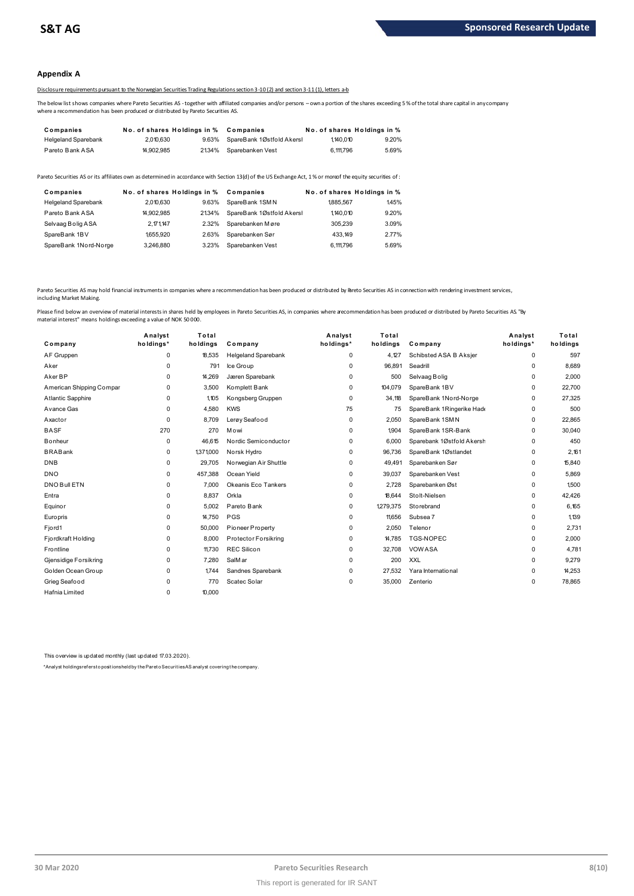### **Appendix A**

# Disclosure requirements pursuant to the Norwegian Securities Trading Regulations section 3-10 (2) and section 3-11 (1), letters a-b

The below list shows companies where Pareto Securities AS -together with affiliated companies and/or persons – own a portion of the shares exceeding 5 % of the total share capital in any company where a recommendation has been produced or distributed by Pareto Securities AS.

| Companies                  | No. of shares Holdings in % |       | Companies                 |           | No. of shares Holdings in % |
|----------------------------|-----------------------------|-------|---------------------------|-----------|-----------------------------|
| <b>Helgeland Sparebank</b> | 2.010.630                   | 9.63% | SpareBank 1Østfold Akersl | 1,140.010 | 9.20%                       |
| Pareto Bank ASA            | 14.902.985                  | 2134% | Sparebanken Vest          | 6.111.796 | 5.69%                       |

| <b>I GIVIV DAIIN AVA</b>   | <b>H.JUL.JUJ</b>            |       | <b>2</b> 2010 UDCU CDCIIN CIIV COL                                                                                                                      | <b>V.III.</b> 30 | <b>U.UU</b> /U              |
|----------------------------|-----------------------------|-------|---------------------------------------------------------------------------------------------------------------------------------------------------------|------------------|-----------------------------|
|                            |                             |       | areto Securities AS or its affiliates own as determined in accordance with Section 13(d) of the US Exchange Act, 1% or moreof the equity securities of: |                  |                             |
| Companies                  | No. of shares Holdings in % |       | Companies                                                                                                                                               |                  | No. of shares Holdings in % |
| <b>Helgeland Sparebank</b> | 2.010.630                   | 9.63% | SpareBank 1SMN                                                                                                                                          | 1885.567         | 145%                        |
| Pareto Bank ASA            | 14.902.985                  | 2134% | SpareBank 1Østfold Akersl                                                                                                                               | 1.140.010        | 9.20%                       |
| Selvaag Bolig ASA          | 2,171,147                   | 2.32% | Sparebanken Møre                                                                                                                                        | 305.239          | 3.09%                       |
| SpareBank 1BV              | 1655.920                    | 2.63% | Sparebanken Sør                                                                                                                                         | 433.149          | 2.77%                       |
| SpareBank 1Nord-Norge      | 3.246.880                   | 3.23% | Sparebanken Vest                                                                                                                                        | 6.111.796        | 5.69%                       |

Pareto Securities AS may hold financial instruments in companies where a recommendation has been produced or distributed by Breto Securities AS in connection with rendering investment services, including Market Making.

| Company                  | Analyst<br>holdings* | Total<br>holdings | Company                    | Analyst<br>holdings* | Total<br>holdings | Company                   | Analyst<br>holdings* | Total<br>holdings |
|--------------------------|----------------------|-------------------|----------------------------|----------------------|-------------------|---------------------------|----------------------|-------------------|
| AF Gruppen               | $\mathbf 0$          | 18,535            | <b>Helgeland Sparebank</b> | 0                    | 4,127             | Schibsted ASA B Aksjer    | 0                    | 597               |
| Aker                     | $\Omega$             | 791               | Ice Group                  | $\Omega$             | 96,891            | Seadrill                  | 0                    | 8,689             |
| Aker BP                  | 0                    | 14,269            | Jæren Sparebank            | 0                    | 500               | Selvaag Bolig             | 0                    | 2,000             |
| American Shipping Compar | $\Omega$             | 3,500             | Komplett Bank              | $\Omega$             | 104,079           | SpareBank 1BV             | 0                    | 22,700            |
| Atlantic Sapphire        | $\Omega$             | 1.105             | Kongsberg Gruppen          | 0                    | 34,118            | SpareBank 1Nord-Norge     | 0                    | 27,325            |
| Avance Gas               | $\Omega$             | 4,580             | <b>KWS</b>                 | 75                   | 75                | SpareBank 1Ringerike Hade | 0                    | 500               |
| Axactor                  | $\Omega$             | 8.709             | Lerøy Seafood              | 0                    | 2,050             | SpareBank 1SMN            | 0                    | 22,865            |
| <b>BASF</b>              | 270                  | 270               | Mowi                       | $\Omega$             | 1,904             | SpareBank 1SR-Bank        | 0                    | 30,040            |
| <b>B</b> onheur          | $\mathbf 0$          | 46.615            | Nordic Semiconductor       | 0                    | 6.000             | Sparebank 1Østfold Akersh | 0                    | 450               |
| <b>BRABank</b>           | $\Omega$             | 1,371,000         | Norsk Hydro                | $\Omega$             | 96,736            | SpareBank 1Østlandet      | 0                    | 2,161             |
| <b>DNB</b>               | $\Omega$             | 29,705            | Norwegian Air Shuttle      | 0                    | 49,491            | Sparebanken Sør           | 0                    | 15,840            |
| <b>DNO</b>               | $\mathbf 0$          | 457,388           | Ocean Yield                | $\Omega$             | 39,037            | Sparebanken Vest          | 0                    | 5,869             |
| DNO Bull ETN             | $\mathbf 0$          | 7.000             | Okeanis Eco Tankers        | 0                    | 2,728             | Sparebanken Øst           | 0                    | 1.500             |
| Entra                    | $\Omega$             | 8,837             | Orkla                      | 0                    | 18,644            | Stolt-Nielsen             | 0                    | 42,426            |
| Equinor                  | $\mathbf 0$          | 5,002             | Pareto Bank                | $\mathbf 0$          | 1,279,375         | Storebrand                | 0                    | 6,165             |
| Europris                 | 0                    | 14,750            | PGS                        | 0                    | 11,656            | Subsea 7                  | 0                    | 1.139             |
| Fjord1                   | $\Omega$             | 50,000            | Pioneer Property           | $\Omega$             | 2,050             | Telenor                   | 0                    | 2,731             |
| Fjordkraft Holding       | $\mathbf 0$          | 8.000             | Protector Forsikring       | $\mathbf 0$          | 14,785            | <b>TGS-NOPEC</b>          | 0                    | 2,000             |
| Frontline                | $\Omega$             | 11,730            | <b>REC Silicon</b>         | $\Omega$             | 32,708            | <b>VOWASA</b>             | 0                    | 4,781             |
| Gjensidige Forsikring    | $\mathbf 0$          | 7,280             | SalMar                     | 0                    | 200               | <b>XXL</b>                | 0                    | 9,279             |
| Golden Ocean Group       | $\Omega$             | 1744              | Sandnes Sparebank          | 0                    | 27,532            | Yara International        | 0                    | 14,253            |
| Grieg Seafood            | $\Omega$             | 770               | Scatec Solar               | $\Omega$             | 35,000            | Zenterio                  | 0                    | 78,865            |
| Hafnia Limited           | $\Omega$             | 10,000            |                            |                      |                   |                           |                      |                   |
|                          |                      |                   |                            |                      |                   |                           |                      |                   |

This overview is updated monthly (last updated 17.03.2020).

\*Analyst holdings ref ers t o posit ions held by t he Paret o Securit ies AS analyst covering t he company.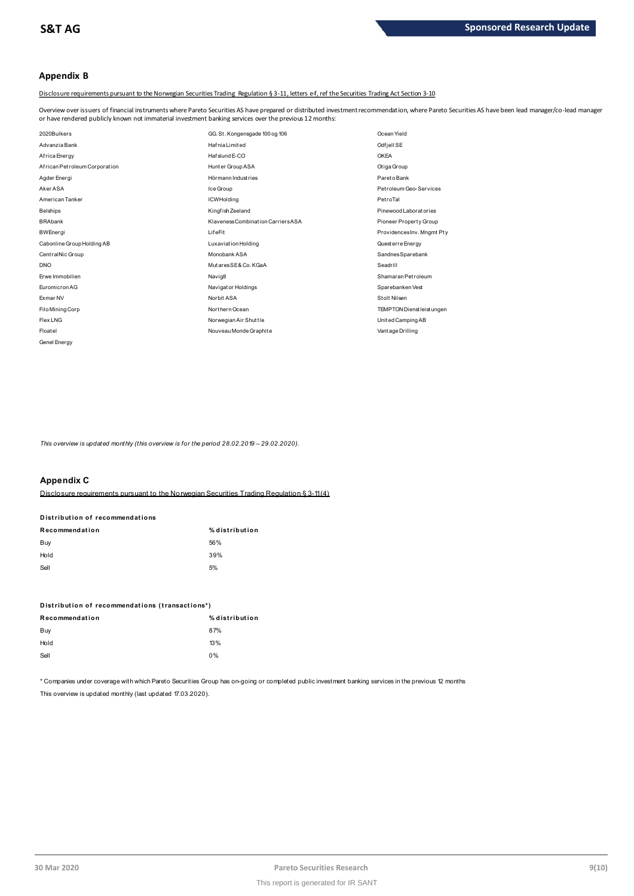# **Appendix B**

Disclosure requirements pursuant to the Norwegian Securities Trading Regulation § 3-11, letters e-f, ref the Securities Trading Act Section 3-10

Overview over issuers of financial instruments where Pareto Securities AS have prepared or distributed investment recommendation, where Pareto Securities AS have been lead manager/co-lead manager<br>or have rendered publicly

| or have rendered publicly known not immaterial investment banking services over the previous 12 months: |                                    |                            |  |  |  |
|---------------------------------------------------------------------------------------------------------|------------------------------------|----------------------------|--|--|--|
| 2020Bulkers                                                                                             | GG. St. Kongensgade 100 og 106     | Ocean Yield                |  |  |  |
| Advanzia Bank                                                                                           | <b>HafniaLimited</b>               | Odfjell SE                 |  |  |  |
| Africa Energy                                                                                           | Haf slund E-CO                     | <b>OKEA</b>                |  |  |  |
| African Petroleum Corporation                                                                           | Hunter Group ASA                   | Otiga Group                |  |  |  |
| Agder Energi                                                                                            | Hörmann Industries                 | Pareto Bank                |  |  |  |
| Aker ASA                                                                                                | Ice Group                          | Petroleum Geo-Services     |  |  |  |
| American Tanker                                                                                         | <b>ICWHolding</b>                  | PetroTal                   |  |  |  |
| <b>Belships</b>                                                                                         | Kingfish Zeeland                   | Pinewood Laboratories      |  |  |  |
| <b>BRAbank</b>                                                                                          | Klaveness Combination Carriers ASA | Pioneer Property Group     |  |  |  |
| <b>BWEnergi</b>                                                                                         | LifeFit                            | ProvidencesInv. Mngmt Pty  |  |  |  |
| Cabonline Group Holding AB                                                                              | Luxaviation Holding                | Quest erre Energy          |  |  |  |
| CentralNic Group                                                                                        | Monobank ASA                       | SandnesSparebank           |  |  |  |
| <b>DNO</b>                                                                                              | Mutares SE& Co. KGaA               | Seadrill                   |  |  |  |
| Erwe Immobilien                                                                                         | Navig8                             | Shamaran Petroleum         |  |  |  |
| Euromicron AG                                                                                           | Navigator Holdings                 | Sparebanken Vest           |  |  |  |
| Exmar NV                                                                                                | Norbit ASA                         | Stolt Nilsen               |  |  |  |
| Filo Mining Corp                                                                                        | Northern Ocean                     | TEMPTON Dienst leist ungen |  |  |  |
| Flex LNG                                                                                                | Norwegian Air Shuttle              | United Camping AB          |  |  |  |
| Floatel                                                                                                 | Nouveau Monde Graphite             | Vant age Drilling          |  |  |  |
| Genel Energy                                                                                            |                                    |                            |  |  |  |

*This overview is updated monthly (this overview is for the period 28.02.2019 – 29.02.2020).*

# **Appendix C**

Disclosure requirements pursuant to the Norwegian Securities Trading Regulation § 3-11 (4)

# **R ecommendat ion % dist ribut ion D ist ribut ion of recommendat ions**

| .    | _____ |
|------|-------|
| Buy  | 56%   |
| Hold | 39%   |
| Sell | 5%    |

| ---                                             | . .            |
|-------------------------------------------------|----------------|
| Distribution of recommendations (transactions*) |                |
| Recommendation                                  | % distribution |
| Buy                                             | 87%            |
| Hold                                            | 13%            |
| Sell                                            | $0\%$          |
|                                                 |                |

\* Companies under coverage with which Pareto Securities Group has on-going or completed public investment banking services in the previous 12 months This overview is updated monthly (last updated 17.03.2020).